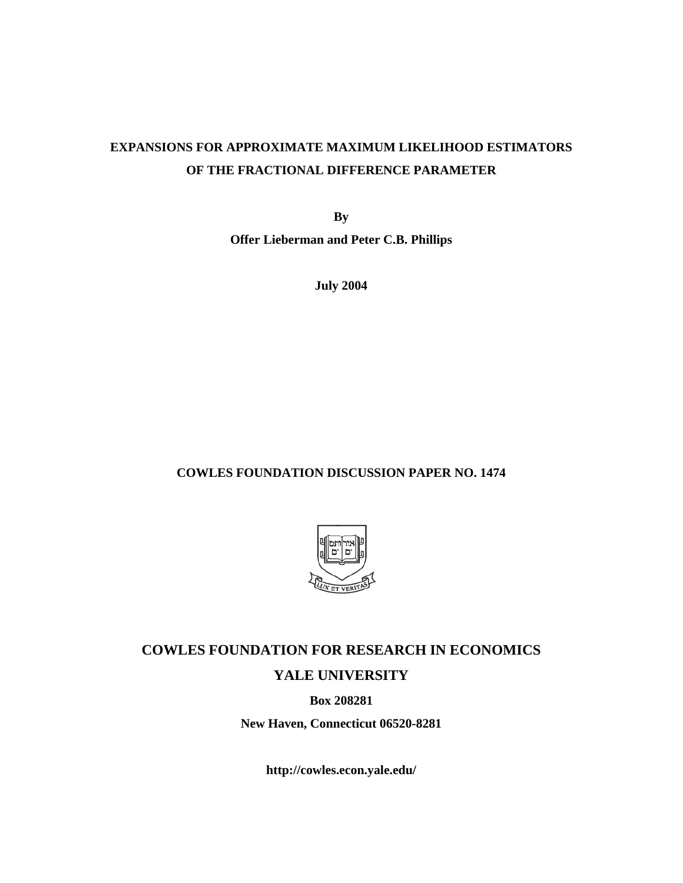## **EXPANSIONS FOR APPROXIMATE MAXIMUM LIKELIHOOD ESTIMATORS OF THE FRACTIONAL DIFFERENCE PARAMETER**

**By** 

**Offer Lieberman and Peter C.B. Phillips** 

**July 2004** 

## **COWLES FOUNDATION DISCUSSION PAPER NO. 1474**



# **COWLES FOUNDATION FOR RESEARCH IN ECONOMICS YALE UNIVERSITY**

**Box 208281** 

**New Haven, Connecticut 06520-8281** 

**http://cowles.econ.yale.edu/**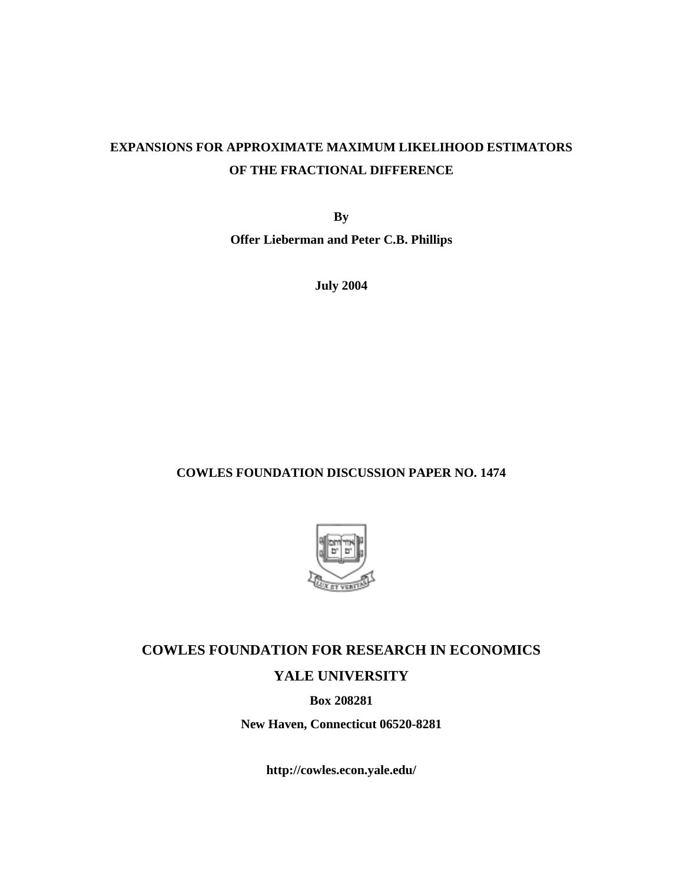## **EXPANSIONS FOR APPROXIMATE MAXIMUM LIKELIHOOD ESTIMATORS OF THE FRACTIONAL DIFFERENCE**

**By** 

**Offer Lieberman and Peter C.B. Phillips** 

**July 2004** 

## **COWLES FOUNDATION DISCUSSION PAPER NO. 1474**



# **COWLES FOUNDATION FOR RESEARCH IN ECONOMICS YALE UNIVERSITY**

**Box 208281** 

**New Haven, Connecticut 06520-8281** 

**http://cowles.econ.yale.edu/**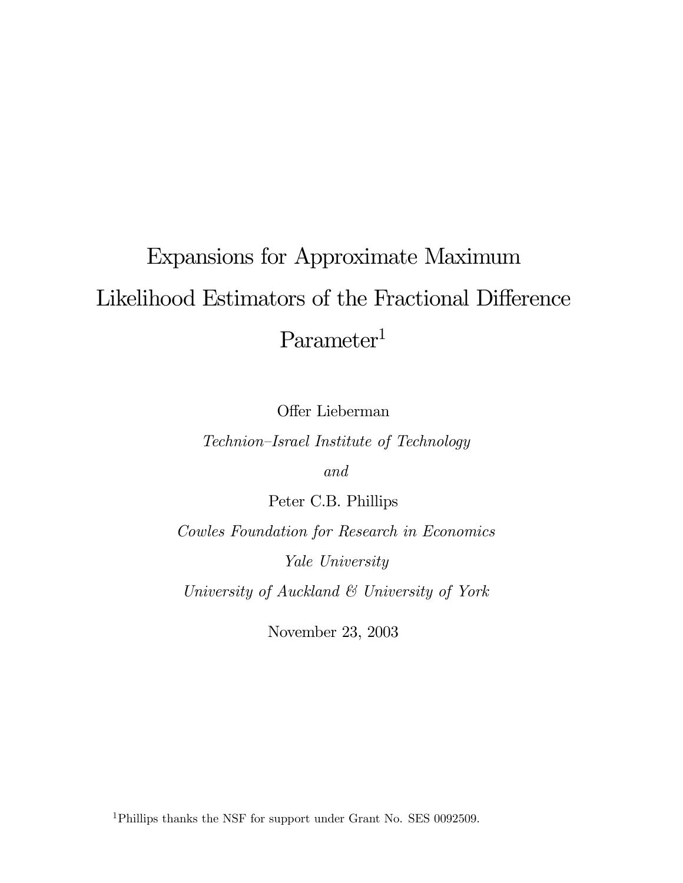# Expansions for Approximate Maximum Likelihood Estimators of the Fractional Difference Parameter<sup>1</sup>

Offer Lieberman

Technion—Israel Institute of Technology

and

Peter C.B. Phillips

Cowles Foundation for Research in Economics Yale University

University of Auckland & University of York

November 23, 2003

1Phillips thanks the NSF for support under Grant No. SES 0092509.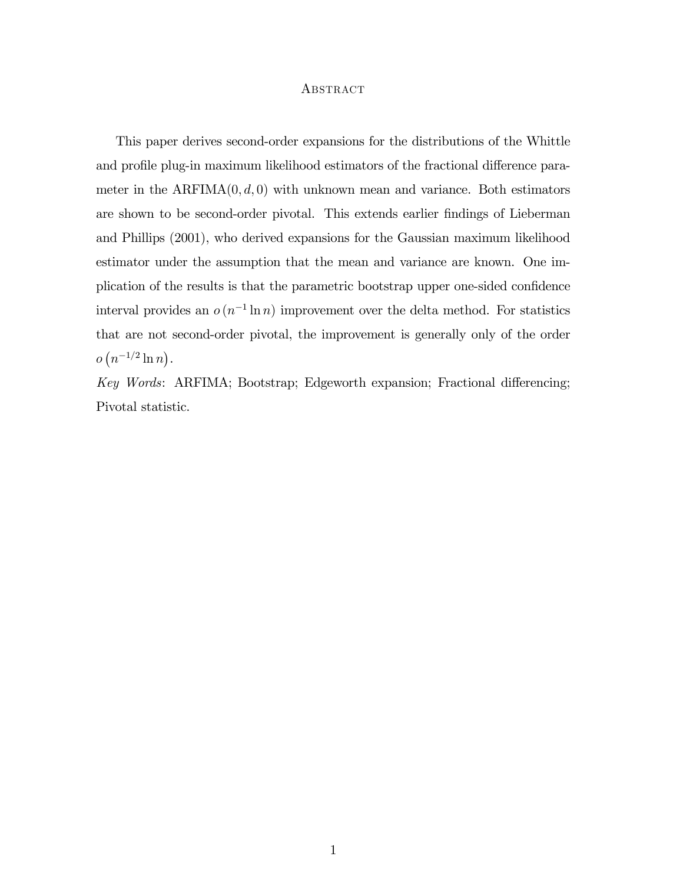#### ABSTRACT

This paper derives second-order expansions for the distributions of the Whittle and profile plug-in maximum likelihood estimators of the fractional difference parameter in the  $ARFIMA(0, d, 0)$  with unknown mean and variance. Both estimators are shown to be second-order pivotal. This extends earlier findings of Lieberman and Phillips (2001), who derived expansions for the Gaussian maximum likelihood estimator under the assumption that the mean and variance are known. One implication of the results is that the parametric bootstrap upper one-sided confidence interval provides an  $o(n^{-1}\ln n)$  improvement over the delta method. For statistics that are not second-order pivotal, the improvement is generally only of the order  $o(n^{-1/2}\ln n)$ .

Key Words: ARFIMA; Bootstrap; Edgeworth expansion; Fractional differencing; Pivotal statistic.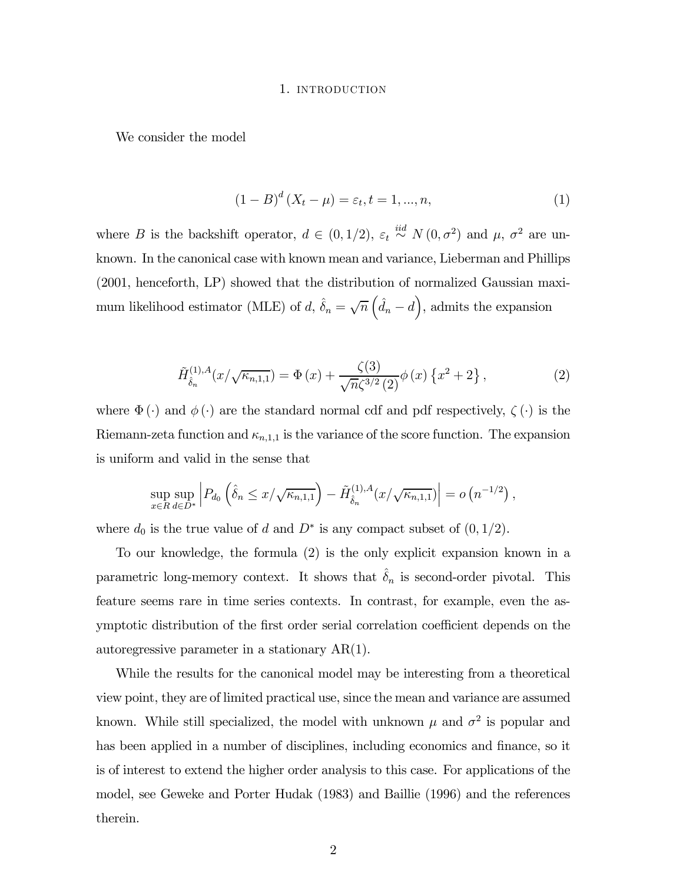#### 1. INTRODUCTION

We consider the model

$$
(1 - B)^{d} (X_t - \mu) = \varepsilon_t, t = 1, ..., n,
$$
\n(1)

where B is the backshift operator,  $d \in (0, 1/2)$ ,  $\varepsilon_t \stackrel{iid}{\sim} N(0, \sigma^2)$  and  $\mu$ ,  $\sigma^2$  are unknown. In the canonical case with known mean and variance, Lieberman and Phillips (2001, henceforth, LP) showed that the distribution of normalized Gaussian maximum likelihood estimator (MLE) of d,  $\hat{\delta}_n = \sqrt{n} \left( \hat{d}_n - d \right)$ , admits the expansion

$$
\tilde{H}_{\hat{\delta}_n}^{(1),A}(x/\sqrt{\kappa_{n,1,1}}) = \Phi(x) + \frac{\zeta(3)}{\sqrt{n}\zeta^{3/2}(2)}\phi(x)\left\{x^2 + 2\right\},\tag{2}
$$

,

where  $\Phi(\cdot)$  and  $\phi(\cdot)$  are the standard normal cdf and pdf respectively,  $\zeta(\cdot)$  is the Riemann-zeta function and  $\kappa_{n,1,1}$  is the variance of the score function. The expansion is uniform and valid in the sense that

$$
\sup_{x \in R} \sup_{d \in D^*} \left| P_{d_0} \left( \hat{\delta}_n \leq x / \sqrt{\kappa_{n,1,1}} \right) - \tilde{H}_{\hat{\delta}_n}^{(1),A}(x / \sqrt{\kappa_{n,1,1}}) \right| = o \left( n^{-1/2} \right)
$$

where  $d_0$  is the true value of d and  $D^*$  is any compact subset of  $(0, 1/2)$ .

To our knowledge, the formula (2) is the only explicit expansion known in a parametric long-memory context. It shows that  $\hat{\delta}_n$  is second-order pivotal. This feature seems rare in time series contexts. In contrast, for example, even the asymptotic distribution of the first order serial correlation coefficient depends on the autoregressive parameter in a stationary AR(1).

While the results for the canonical model may be interesting from a theoretical view point, they are of limited practical use, since the mean and variance are assumed known. While still specialized, the model with unknown  $\mu$  and  $\sigma^2$  is popular and has been applied in a number of disciplines, including economics and finance, so it is of interest to extend the higher order analysis to this case. For applications of the model, see Geweke and Porter Hudak (1983) and Baillie (1996) and the references therein.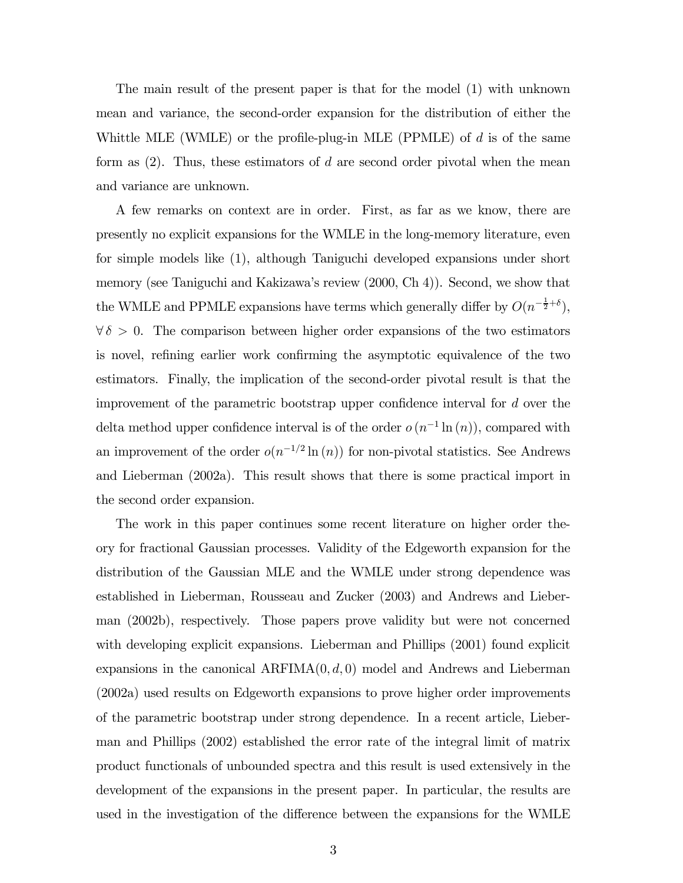The main result of the present paper is that for the model (1) with unknown mean and variance, the second-order expansion for the distribution of either the Whittle MLE (WMLE) or the profile-plug-in MLE (PPMLE) of  $d$  is of the same form as  $(2)$ . Thus, these estimators of d are second order pivotal when the mean and variance are unknown.

A few remarks on context are in order. First, as far as we know, there are presently no explicit expansions for the WMLE in the long-memory literature, even for simple models like (1), although Taniguchi developed expansions under short memory (see Taniguchi and Kakizawa's review (2000, Ch 4)). Second, we show that the WMLE and PPMLE expansions have terms which generally differ by  $O(n^{-\frac{1}{2}+\delta})$ ,  $\forall \delta > 0$ . The comparison between higher order expansions of the two estimators is novel, refining earlier work confirming the asymptotic equivalence of the two estimators. Finally, the implication of the second-order pivotal result is that the improvement of the parametric bootstrap upper confidence interval for d over the delta method upper confidence interval is of the order  $o(n^{-1}\ln(n))$ , compared with an improvement of the order  $o(n^{-1/2} \ln(n))$  for non-pivotal statistics. See Andrews and Lieberman (2002a). This result shows that there is some practical import in the second order expansion.

The work in this paper continues some recent literature on higher order theory for fractional Gaussian processes. Validity of the Edgeworth expansion for the distribution of the Gaussian MLE and the WMLE under strong dependence was established in Lieberman, Rousseau and Zucker (2003) and Andrews and Lieberman (2002b), respectively. Those papers prove validity but were not concerned with developing explicit expansions. Lieberman and Phillips (2001) found explicit expansions in the canonical  $ARFIMA(0, d, 0)$  model and Andrews and Lieberman (2002a) used results on Edgeworth expansions to prove higher order improvements of the parametric bootstrap under strong dependence. In a recent article, Lieberman and Phillips (2002) established the error rate of the integral limit of matrix product functionals of unbounded spectra and this result is used extensively in the development of the expansions in the present paper. In particular, the results are used in the investigation of the difference between the expansions for the WMLE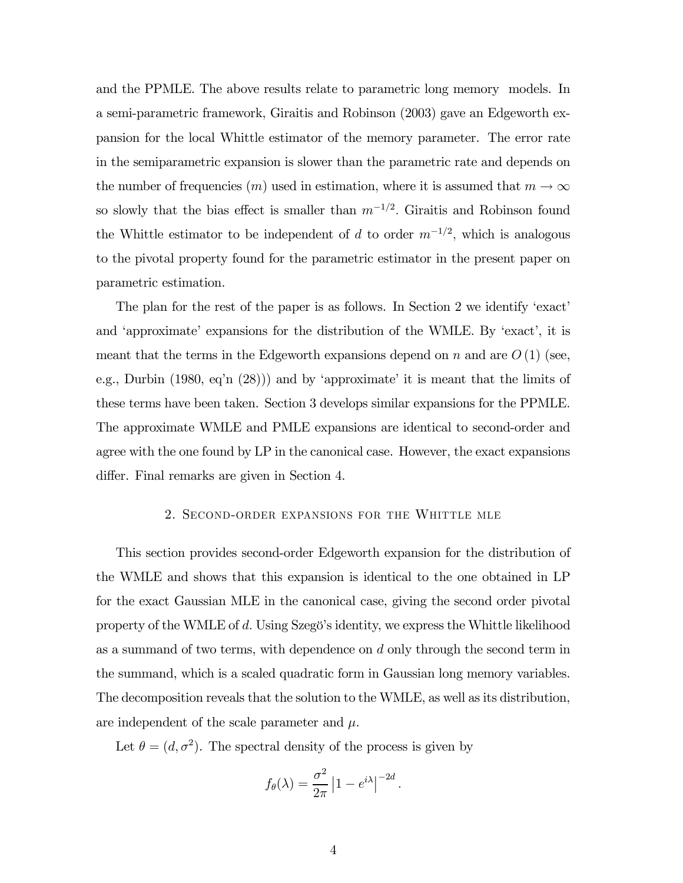and the PPMLE. The above results relate to parametric long memory models. In a semi-parametric framework, Giraitis and Robinson (2003) gave an Edgeworth expansion for the local Whittle estimator of the memory parameter. The error rate in the semiparametric expansion is slower than the parametric rate and depends on the number of frequencies  $(m)$  used in estimation, where it is assumed that  $m \to \infty$ so slowly that the bias effect is smaller than  $m^{-1/2}$ . Giraitis and Robinson found the Whittle estimator to be independent of d to order  $m^{-1/2}$ , which is analogous to the pivotal property found for the parametric estimator in the present paper on parametric estimation.

The plan for the rest of the paper is as follows. In Section 2 we identify 'exact' and 'approximate' expansions for the distribution of the WMLE. By 'exact', it is meant that the terms in the Edgeworth expansions depend on n and are  $O(1)$  (see, e.g., Durbin (1980, eq'n (28))) and by 'approximate' it is meant that the limits of these terms have been taken. Section 3 develops similar expansions for the PPMLE. The approximate WMLE and PMLE expansions are identical to second-order and agree with the one found by LP in the canonical case. However, the exact expansions differ. Final remarks are given in Section 4.

#### 2. SECOND-ORDER EXPANSIONS FOR THE WHITTLE MLE

This section provides second-order Edgeworth expansion for the distribution of the WMLE and shows that this expansion is identical to the one obtained in LP for the exact Gaussian MLE in the canonical case, giving the second order pivotal property of the WMLE of d. Using Szegö's identity, we express the Whittle likelihood as a summand of two terms, with dependence on d only through the second term in the summand, which is a scaled quadratic form in Gaussian long memory variables. The decomposition reveals that the solution to the WMLE, as well as its distribution, are independent of the scale parameter and  $\mu$ .

Let  $\theta = (d, \sigma^2)$ . The spectral density of the process is given by

$$
f_{\theta}(\lambda) = \frac{\sigma^2}{2\pi} |1 - e^{i\lambda}|^{-2d}.
$$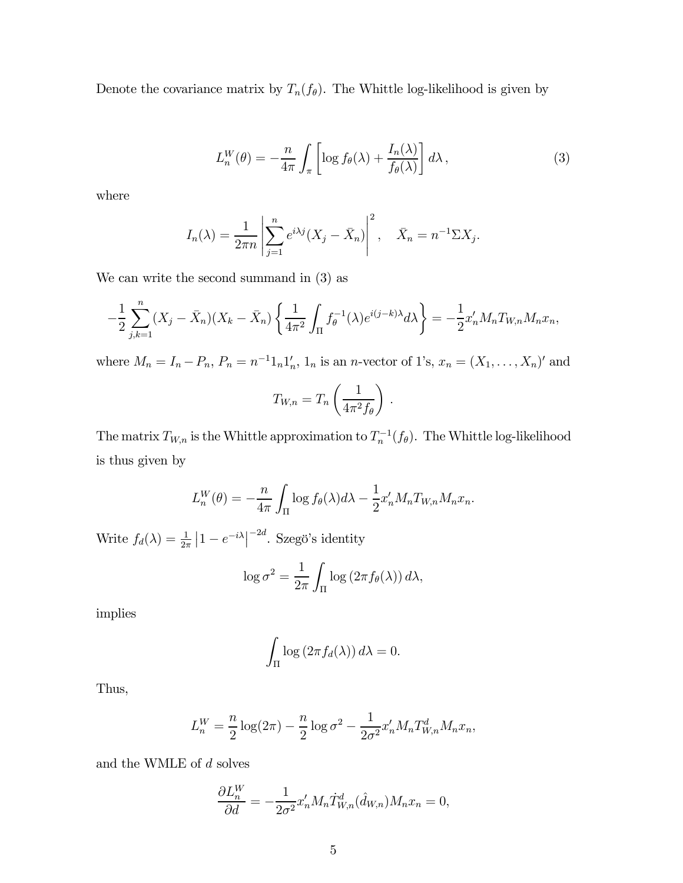Denote the covariance matrix by  $T_n(f_\theta)$ . The Whittle log-likelihood is given by

$$
L_n^W(\theta) = -\frac{n}{4\pi} \int_{\pi} \left[ \log f_{\theta}(\lambda) + \frac{I_n(\lambda)}{f_{\theta}(\lambda)} \right] d\lambda, \tag{3}
$$

where

$$
I_n(\lambda) = \frac{1}{2\pi n} \left| \sum_{j=1}^n e^{i\lambda j} (X_j - \bar{X}_n) \right|^2, \quad \bar{X}_n = n^{-1} \Sigma X_j.
$$

We can write the second summand in (3) as

$$
-\frac{1}{2}\sum_{j,k=1}^n (X_j - \bar{X}_n)(X_k - \bar{X}_n) \left\{ \frac{1}{4\pi^2} \int_{\Pi} f_{\theta}^{-1}(\lambda) e^{i(j-k)\lambda} d\lambda \right\} = -\frac{1}{2} x_n' M_n T_{W,n} M_n x_n,
$$

where  $M_n = I_n - P_n$ ,  $P_n = n^{-1}1_n1'_n$ ,  $1_n$  is an *n*-vector of 1's,  $x_n = (X_1, \ldots, X_n)'$  and

$$
T_{W,n} = T_n \left(\frac{1}{4\pi^2 f_\theta}\right).
$$

The matrix  $T_{W,n}$  is the Whittle approximation to  $T_n^{-1}(f_\theta)$ . The Whittle log-likelihood is thus given by

$$
L_n^W(\theta) = -\frac{n}{4\pi} \int_{\Pi} \log f_{\theta}(\lambda) d\lambda - \frac{1}{2} x_n' M_n T_{W,n} M_n x_n.
$$

Write  $f_d(\lambda) = \frac{1}{2\pi} |1 - e^{-i\lambda}|^{-2d}$ . Szegö's identity

$$
\log \sigma^2 = \frac{1}{2\pi} \int_{\Pi} \log \left( 2\pi f_{\theta}(\lambda) \right) d\lambda,
$$

implies

$$
\int_{\Pi} \log (2\pi f_d(\lambda)) d\lambda = 0.
$$

Thus,

$$
L_n^W = \frac{n}{2} \log(2\pi) - \frac{n}{2} \log \sigma^2 - \frac{1}{2\sigma^2} x_n' M_n T_{W,n}^d M_n x_n,
$$

and the WMLE of  $d$  solves

$$
\frac{\partial L_n^W}{\partial d} = -\frac{1}{2\sigma^2} x_n' M_n \dot{T}_{W,n}^d(\hat{d}_{W,n}) M_n x_n = 0,
$$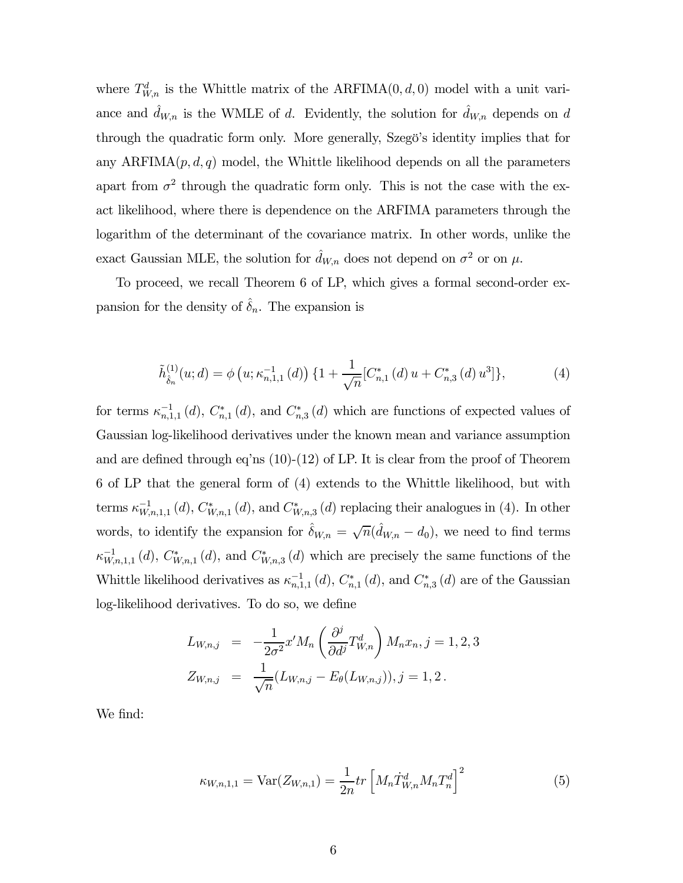where  $T_{W,n}^d$  is the Whittle matrix of the ARFIMA $(0, d, 0)$  model with a unit variance and  $\hat{d}_{W,n}$  is the WMLE of d. Evidently, the solution for  $\hat{d}_{W,n}$  depends on d through the quadratic form only. More generally, Szegö's identity implies that for any  $ARFIMA(p, d, q)$  model, the Whittle likelihood depends on all the parameters apart from  $\sigma^2$  through the quadratic form only. This is not the case with the exact likelihood, where there is dependence on the ARFIMA parameters through the logarithm of the determinant of the covariance matrix. In other words, unlike the exact Gaussian MLE, the solution for  $\hat{d}_{W,n}$  does not depend on  $\sigma^2$  or on  $\mu$ .

To proceed, we recall Theorem 6 of LP, which gives a formal second-order expansion for the density of  $\hat{\delta}_n$ . The expansion is

$$
\tilde{h}_{\hat{\delta}_n}^{(1)}(u;d) = \phi\left(u; \kappa_{n,1,1}^{-1}\left(d\right)\right) \{1 + \frac{1}{\sqrt{n}} [C_{n,1}^*(d) u + C_{n,3}^*(d) u^3] \},\tag{4}
$$

for terms  $\kappa_{n,1,1}^{-1}(d)$ ,  $C_{n,1}^*(d)$ , and  $C_{n,3}^*(d)$  which are functions of expected values of Gaussian log-likelihood derivatives under the known mean and variance assumption and are defined through eq'ns (10)-(12) of LP. It is clear from the proof of Theorem 6 of LP that the general form of (4) extends to the Whittle likelihood, but with terms  $\kappa_{W,n,1,1}^{-1}(d)$ ,  $C^*_{W,n,1}(d)$ , and  $C^*_{W,n,3}(d)$  replacing their analogues in (4). In other words, to identify the expansion for  $\hat{\delta}_{W,n} = \sqrt{n}(\hat{d}_{W,n} - d_0)$ , we need to find terms  $\kappa_{W,n,1,1}^{-1}(d)$ ,  $C^*_{W,n,1}(d)$ , and  $C^*_{W,n,3}(d)$  which are precisely the same functions of the Whittle likelihood derivatives as  $\kappa_{n,1,1}^{-1}(d)$ ,  $C_{n,1}^*(d)$ , and  $C_{n,3}^*(d)$  are of the Gaussian log-likelihood derivatives. To do so, we define

$$
L_{W,n,j} = -\frac{1}{2\sigma^2} x' M_n \left( \frac{\partial^j}{\partial d^j} T_{W,n}^d \right) M_n x_n, j = 1, 2, 3
$$
  

$$
Z_{W,n,j} = \frac{1}{\sqrt{n}} (L_{W,n,j} - E_\theta(L_{W,n,j})), j = 1, 2.
$$

We find:

$$
\kappa_{W,n,1,1} = \text{Var}(Z_{W,n,1}) = \frac{1}{2n} tr \left[ M_n \dot{T}_{W,n}^d M_n T_n^d \right]^2 \tag{5}
$$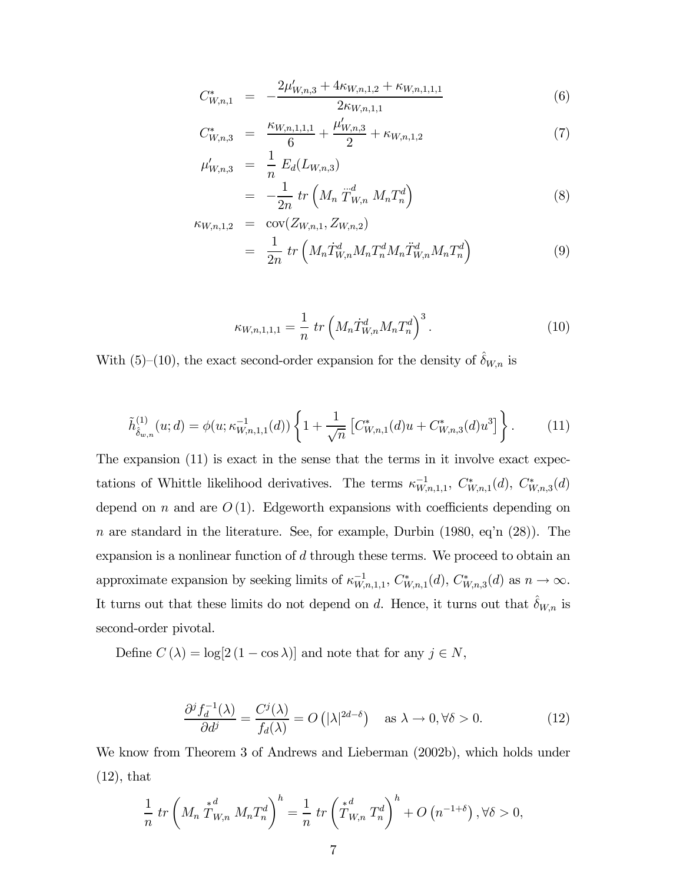$$
C_{W,n,1}^* = -\frac{2\mu'_{W,n,3} + 4\kappa_{W,n,1,2} + \kappa_{W,n,1,1,1}}{2\kappa_{W,n,1,1}} \tag{6}
$$

$$
C_{W,n,3}^* = \frac{\kappa_{W,n,1,1,1}}{6} + \frac{\mu'_{W,n,3}}{2} + \kappa_{W,n,1,2} \tag{7}
$$

$$
\mu'_{W,n,3} = \frac{1}{n} E_d(L_{W,n,3}) \n= -\frac{1}{2n} tr\left(M_n \dot{T}_{W,n}^d M_n T_n^d\right)
$$
\n(8)

$$
\kappa_{W,n,1,2} = \text{cov}(Z_{W,n,1}, Z_{W,n,2})
$$
  
= 
$$
\frac{1}{2n} tr\left(M_n \dot{T}_{W,n}^d M_n T_n^d M_n \ddot{T}_{W,n}^d M_n T_n^d\right)
$$
 (9)

$$
\kappa_{W,n,1,1,1} = \frac{1}{n} \operatorname{tr} \left( M_n \dot{T}_{W,n}^d M_n T_n^d \right)^3. \tag{10}
$$

With (5)–(10), the exact second-order expansion for the density of  $\delta_{W,n}$  is

$$
\tilde{h}_{\hat{\delta}_{w,n}}^{(1)}(u;d) = \phi(u;\kappa_{W,n,1,1}^{-1}(d)) \left\{ 1 + \frac{1}{\sqrt{n}} \left[ C_{W,n,1}^*(d)u + C_{W,n,3}^*(d)u^3 \right] \right\}.
$$
 (11)

The expansion (11) is exact in the sense that the terms in it involve exact expectations of Whittle likelihood derivatives. The terms  $\kappa_{W,n,1,1}^{-1}$ ,  $C^*_{W,n,1}(d)$ ,  $C^*_{W,n,3}(d)$ depend on n and are  $O(1)$ . Edgeworth expansions with coefficients depending on n are standard in the literature. See, for example, Durbin  $(1980, \text{eq} \cdot \text{n} \cdot (28))$ . The expansion is a nonlinear function of d through these terms. We proceed to obtain an approximate expansion by seeking limits of  $\kappa_{W,n,1,1}^{-1}$ ,  $C^*_{W,n,1}(d)$ ,  $C^*_{W,n,3}(d)$  as  $n \to \infty$ . It turns out that these limits do not depend on d. Hence, it turns out that  $\delta_{W,n}$  is second-order pivotal.

Define  $C(\lambda) = \log[2(1 - \cos \lambda)]$  and note that for any  $j \in N$ ,

$$
\frac{\partial^j f_d^{-1}(\lambda)}{\partial d^j} = \frac{C^j(\lambda)}{f_d(\lambda)} = O\left(|\lambda|^{2d-\delta}\right) \quad \text{as } \lambda \to 0, \forall \delta > 0. \tag{12}
$$

We know from Theorem 3 of Andrews and Lieberman (2002b), which holds under (12), that

$$
\frac{1}{n} \operatorname{tr} \left( M_n \stackrel{*}{T}_{W,n}^d M_n T_n^d \right)^h = \frac{1}{n} \operatorname{tr} \left( \stackrel{*}{T}_{W,n}^d T_n^d \right)^h + O \left( n^{-1+\delta} \right), \forall \delta > 0,
$$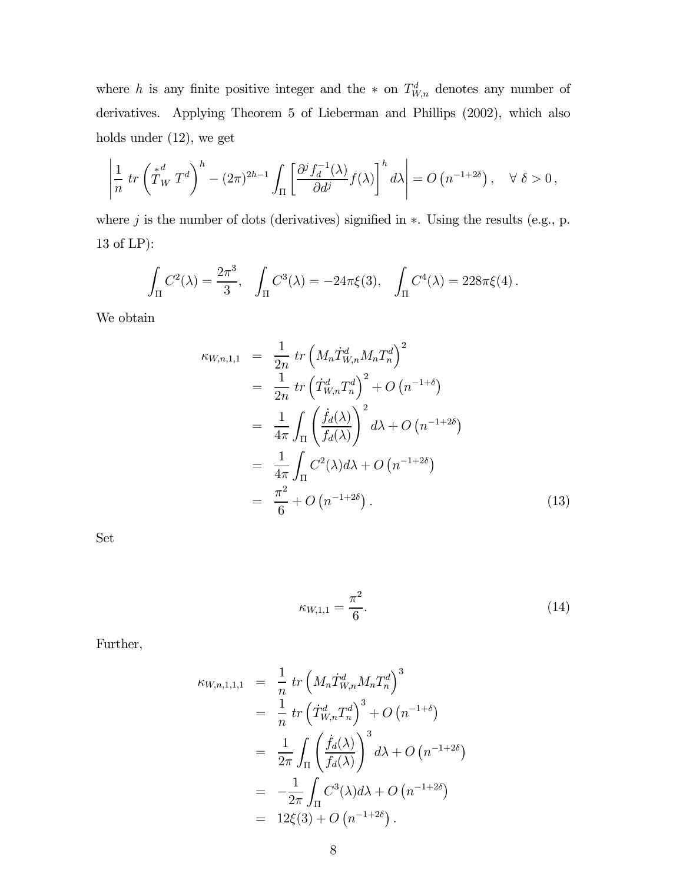where h is any finite positive integer and the  $*$  on  $T_{W,n}^d$  denotes any number of derivatives. Applying Theorem 5 of Lieberman and Phillips (2002), which also holds under (12), we get

$$
\left|\frac{1}{n} \operatorname{tr}\left(\stackrel{*}{T}_W T^d\right)^h - (2\pi)^{2h-1} \int_{\Pi} \left[\frac{\partial^j f_d^{-1}(\lambda)}{\partial d^j} f(\lambda)\right]^h d\lambda\right| = O\left(n^{-1+2\delta}\right), \quad \forall \ \delta > 0,
$$

where  $j$  is the number of dots (derivatives) signified in  $*$ . Using the results (e.g., p. 13 of LP):

$$
\int_{\Pi} C^{2}(\lambda) = \frac{2\pi^{3}}{3}, \quad \int_{\Pi} C^{3}(\lambda) = -24\pi \xi(3), \quad \int_{\Pi} C^{4}(\lambda) = 228\pi \xi(4).
$$

We obtain

$$
\kappa_{W,n,1,1} = \frac{1}{2n} tr \left( M_n \dot{T}_{W,n}^d M_n T_n^d \right)^2
$$
  
\n
$$
= \frac{1}{2n} tr \left( \dot{T}_{W,n}^d T_n^d \right)^2 + O \left( n^{-1+\delta} \right)
$$
  
\n
$$
= \frac{1}{4\pi} \int_{\Pi} \left( \frac{\dot{f}_d(\lambda)}{f_d(\lambda)} \right)^2 d\lambda + O \left( n^{-1+2\delta} \right)
$$
  
\n
$$
= \frac{1}{4\pi} \int_{\Pi} C^2(\lambda) d\lambda + O \left( n^{-1+2\delta} \right)
$$
  
\n
$$
= \frac{\pi^2}{6} + O \left( n^{-1+2\delta} \right).
$$
 (13)

Set

$$
\kappa_{W,1,1} = \frac{\pi^2}{6}.
$$
\n(14)

Further,

$$
\kappa_{W,n,1,1,1} = \frac{1}{n} tr \left( M_n \dot{T}_{W,n}^d M_n T_n^d \right)^3
$$
  
\n
$$
= \frac{1}{n} tr \left( \dot{T}_{W,n}^d T_n^d \right)^3 + O \left( n^{-1+\delta} \right)
$$
  
\n
$$
= \frac{1}{2\pi} \int_{\Pi} \left( \frac{\dot{f}_d(\lambda)}{f_d(\lambda)} \right)^3 d\lambda + O \left( n^{-1+2\delta} \right)
$$
  
\n
$$
= -\frac{1}{2\pi} \int_{\Pi} C^3(\lambda) d\lambda + O \left( n^{-1+2\delta} \right)
$$
  
\n
$$
= 12\xi(3) + O \left( n^{-1+2\delta} \right).
$$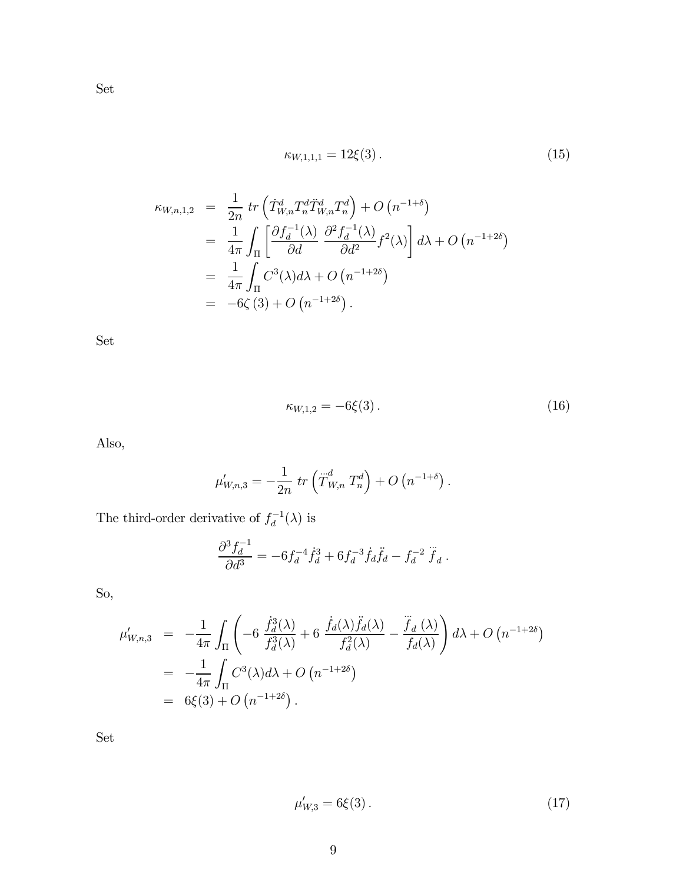$$
\kappa_{W,1,1,1} = 12\xi(3). \tag{15}
$$

$$
\kappa_{W,n,1,2} = \frac{1}{2n} tr \left( \dot{T}_{W,n}^d T_n^d \ddot{T}_{W,n}^d T_n^d \right) + O \left( n^{-1+\delta} \right)
$$
  
\n
$$
= \frac{1}{4\pi} \int_{\Pi} \left[ \frac{\partial f_d^{-1}(\lambda)}{\partial d} \frac{\partial^2 f_d^{-1}(\lambda)}{\partial d^2} f^2(\lambda) \right] d\lambda + O \left( n^{-1+2\delta} \right)
$$
  
\n
$$
= \frac{1}{4\pi} \int_{\Pi} C^3(\lambda) d\lambda + O \left( n^{-1+2\delta} \right)
$$
  
\n
$$
= -6\zeta(3) + O \left( n^{-1+2\delta} \right).
$$

Set

$$
\kappa_{W,1,2} = -6\xi(3). \tag{16}
$$

Also,

$$
\mu'_{W,n,3} = -\frac{1}{2n} \, tr \left( T^d_{W,n} T^d_n \right) + O \left( n^{-1+\delta} \right).
$$

The third-order derivative of  $f_d^{-1}(\lambda)$  is

$$
\frac{\partial^3 f_d^{-1}}{\partial d^3} = -6f_d^{-4}\dot{f}_d^3 + 6f_d^{-3}\dot{f}_d\ddot{f}_d - f_d^{-2}\ddot{f}_d.
$$

So,

$$
\mu'_{W,n,3} = -\frac{1}{4\pi} \int_{\Pi} \left( -6 \frac{\dot{f}_d^3(\lambda)}{f_d^3(\lambda)} + 6 \frac{\dot{f}_d(\lambda)\ddot{f}_d(\lambda)}{f_d^2(\lambda)} - \frac{\ddot{f}_d(\lambda)}{f_d(\lambda)} \right) d\lambda + O(n^{-1+2\delta})
$$
  
= 
$$
-\frac{1}{4\pi} \int_{\Pi} C^3(\lambda) d\lambda + O(n^{-1+2\delta})
$$
  
= 
$$
6\xi(3) + O(n^{-1+2\delta}).
$$

Set

$$
\mu'_{W,3} = 6\xi(3). \tag{17}
$$

Set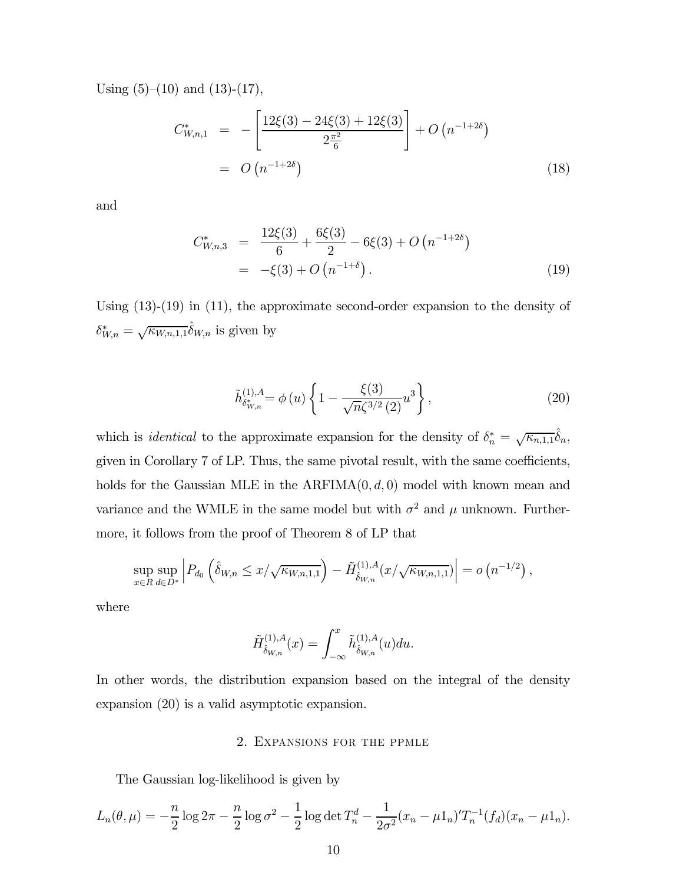Using  $(5)-(10)$  and  $(13)-(17)$ ,

$$
C_{W,n,1}^* = -\left[\frac{12\xi(3) - 24\xi(3) + 12\xi(3)}{2\frac{\pi^2}{6}}\right] + O\left(n^{-1+2\delta}\right)
$$
  
= 
$$
O\left(n^{-1+2\delta}\right)
$$
 (18)

and

$$
C_{W,n,3}^* = \frac{12\xi(3)}{6} + \frac{6\xi(3)}{2} - 6\xi(3) + O(n^{-1+2\delta})
$$
  
= -\xi(3) + O(n^{-1+\delta}). (19)

Using (13)-(19) in (11), the approximate second-order expansion to the density of  $\delta_{W,n}^* = \sqrt{\kappa_{W,n,1,1}} \hat{\delta}_{W,n}$  is given by

$$
\tilde{h}_{\delta_{W,n}^*}^{(1),A} = \phi\left(u\right) \left\{ 1 - \frac{\xi(3)}{\sqrt{n}\zeta^{3/2}\left(2\right)} u^3 \right\},\tag{20}
$$

which is *identical* to the approximate expansion for the density of  $\delta_n^* = \sqrt{\kappa_{n,1,1}} \hat{\delta}_n$ , given in Corollary 7 of LP. Thus, the same pivotal result, with the same coefficients, holds for the Gaussian MLE in the  $ARFIMA(0, d, 0)$  model with known mean and variance and the WMLE in the same model but with  $\sigma^2$  and  $\mu$  unknown. Furthermore, it follows from the proof of Theorem 8 of LP that

$$
\sup_{x \in R} \sup_{d \in D^*} \left| P_{d_0} \left( \hat{\delta}_{W,n} \leq x / \sqrt{\kappa_{W,n,1,1}} \right) - \tilde{H}_{\hat{\delta}_{W,n}}^{(1),A}(x / \sqrt{\kappa_{W,n,1,1}}) \right| = o \left( n^{-1/2} \right),
$$

where

$$
\tilde{H}^{(1),A}_{\hat{\delta}_{W,n}}(x) = \int_{-\infty}^x \tilde{h}^{(1),A}_{\hat{\delta}_{W,n}}(u) du.
$$

In other words, the distribution expansion based on the integral of the density expansion (20) is a valid asymptotic expansion.

#### 2. EXPANSIONS FOR THE PPMLE

The Gaussian log-likelihood is given by

$$
L_n(\theta,\mu) = -\frac{n}{2}\log 2\pi - \frac{n}{2}\log \sigma^2 - \frac{1}{2}\log \det T_n^d - \frac{1}{2\sigma^2}(x_n - \mu 1_n)'T_n^{-1}(f_d)(x_n - \mu 1_n).
$$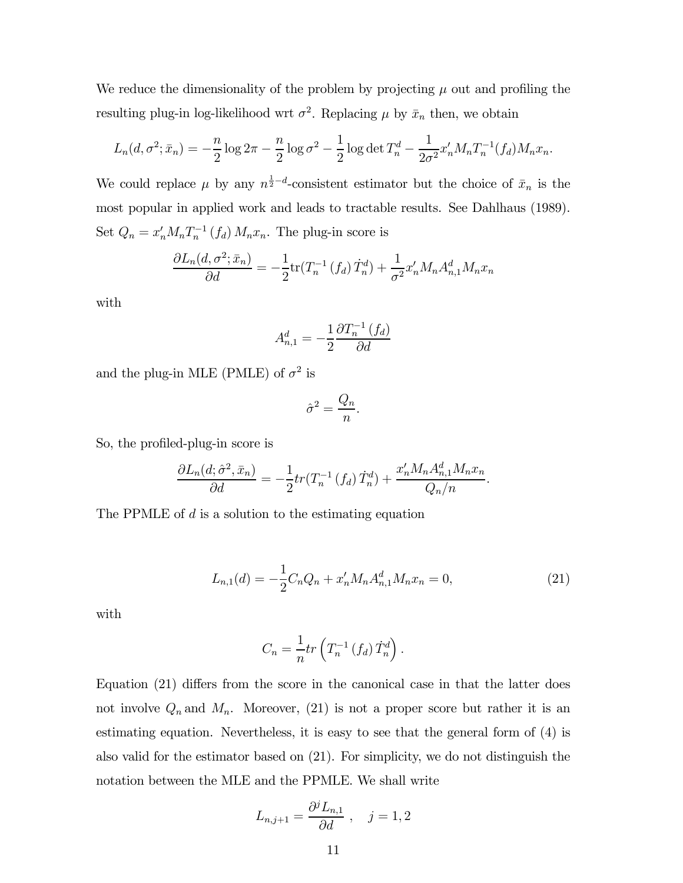We reduce the dimensionality of the problem by projecting  $\mu$  out and profiling the resulting plug-in log-likelihood wrt  $\sigma^2$ . Replacing  $\mu$  by  $\bar{x}_n$  then, we obtain

$$
L_n(d, \sigma^2; \bar{x}_n) = -\frac{n}{2} \log 2\pi - \frac{n}{2} \log \sigma^2 - \frac{1}{2} \log \det T_n^d - \frac{1}{2\sigma^2} x_n' M_n T_n^{-1}(f_d) M_n x_n.
$$

We could replace  $\mu$  by any  $n^{\frac{1}{2}-d}$ -consistent estimator but the choice of  $\bar{x}_n$  is the most popular in applied work and leads to tractable results. See Dahlhaus (1989). Set  $Q_n = x'_n M_n T_n^{-1} (f_d) M_n x_n$ . The plug-in score is

$$
\frac{\partial L_n(d, \sigma^2; \bar{x}_n)}{\partial d} = -\frac{1}{2} \text{tr}(T_n^{-1}(f_d) \dot{T}_n^d) + \frac{1}{\sigma^2} x_n' M_n A_{n,1}^d M_n x_n
$$

with

$$
A_{n,1}^d = -\frac{1}{2} \frac{\partial T_n^{-1}(f_d)}{\partial d}
$$

and the plug-in MLE (PMLE) of  $\sigma^2$  is

$$
\hat{\sigma}^2 = \frac{Q_n}{n}.
$$

So, the profiled-plug-in score is

$$
\frac{\partial L_n(d; \hat{\sigma}^2, \bar{x}_n)}{\partial d} = -\frac{1}{2} tr(T_n^{-1}(f_d) \dot{T}_n^d) + \frac{x_n' M_n A_{n,1}^d M_n x_n}{Q_n/n}.
$$

The PPMLE of  $d$  is a solution to the estimating equation

$$
L_{n,1}(d) = -\frac{1}{2}C_n Q_n + x_n' M_n A_{n,1}^d M_n x_n = 0,
$$
\n(21)

with

$$
C_n = \frac{1}{n} tr\left(T_n^{-1} \left(f_d\right) \dot{T}_n^d\right).
$$

Equation (21) differs from the score in the canonical case in that the latter does not involve  $Q_n$  and  $M_n$ . Moreover, (21) is not a proper score but rather it is an estimating equation. Nevertheless, it is easy to see that the general form of (4) is also valid for the estimator based on (21). For simplicity, we do not distinguish the notation between the MLE and the PPMLE. We shall write

$$
L_{n,j+1} = \frac{\partial^j L_{n,1}}{\partial d} , \quad j = 1, 2
$$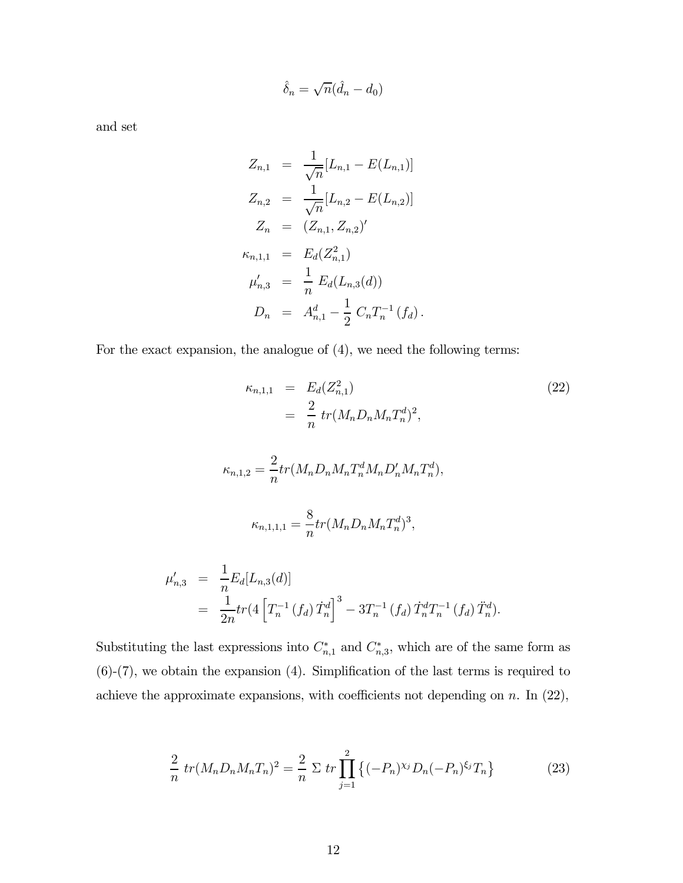$$
\hat{\delta}_n = \sqrt{n}(\hat{d}_n - d_0)
$$

and set

$$
Z_{n,1} = \frac{1}{\sqrt{n}} [L_{n,1} - E(L_{n,1})]
$$
  
\n
$$
Z_{n,2} = \frac{1}{\sqrt{n}} [L_{n,2} - E(L_{n,2})]
$$
  
\n
$$
Z_n = (Z_{n,1}, Z_{n,2})'
$$
  
\n
$$
\kappa_{n,1,1} = E_d(Z_{n,1}^2)
$$
  
\n
$$
\mu'_{n,3} = \frac{1}{n} E_d(L_{n,3}(d))
$$
  
\n
$$
D_n = A_{n,1}^d - \frac{1}{2} C_n T_n^{-1} (f_d).
$$

For the exact expansion, the analogue of (4), we need the following terms:

$$
\kappa_{n,1,1} = E_d(Z_{n,1}^2)
$$
\n
$$
= \frac{2}{n} tr(M_n D_n M_n T_n^d)^2,
$$
\n
$$
\kappa_{n,1,2} = \frac{2}{n} tr(M_n D_n M_n T_n^d M_n D_n' M_n T_n^d),
$$
\n
$$
\kappa_{n,1,1,1} = \frac{8}{n} tr(M_n D_n M_n T_n^d)^3,
$$
\n
$$
\mu'_{n,3} = \frac{1}{n} E_d[L_{n,3}(d)]
$$
\n
$$
= \frac{1}{2n} tr(4 \left[ T_n^{-1} (f_d) \dot{T}_n^d \right]^3 - 3T_n^{-1} (f_d) \dot{T}_n^d T_n^{-1} (f_d) \ddot{T}_n^d).
$$
\n(22)

Substituting the last expressions into  $C_{n,1}^*$  and  $C_{n,3}^*$ , which are of the same form as (6)-(7), we obtain the expansion (4). Simplification of the last terms is required to achieve the approximate expansions, with coefficients not depending on  $n$ . In  $(22)$ ,

$$
\frac{2}{n} \operatorname{tr}(M_n D_n M_n T_n)^2 = \frac{2}{n} \sum \operatorname{tr} \prod_{j=1}^2 \left\{ (-P_n)^{x_j} D_n (-P_n)^{\xi_j} T_n \right\} \tag{23}
$$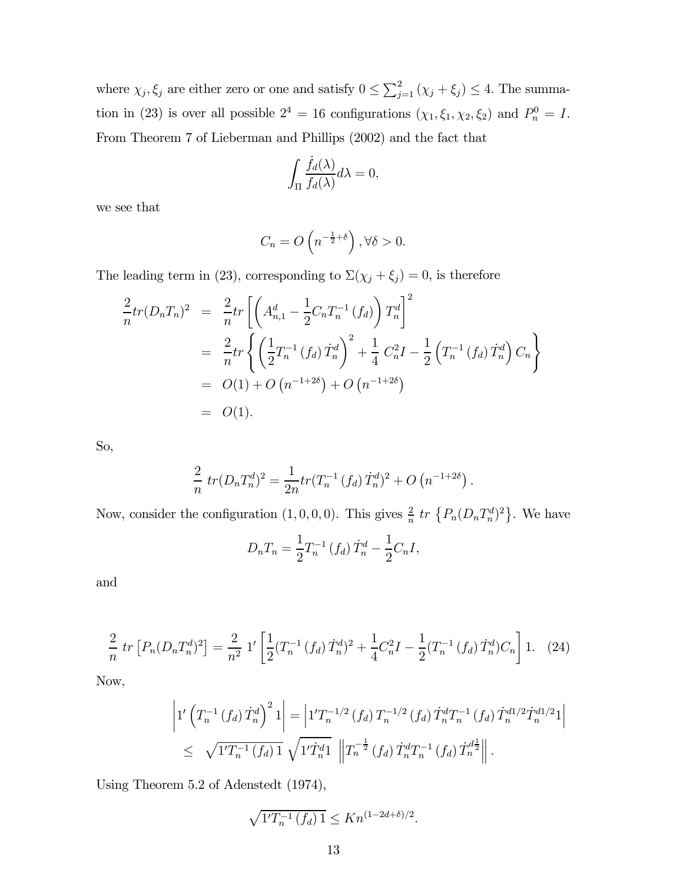where  $\chi_j, \xi_j$  are either zero or one and satisfy  $0 \le \sum_{j=1}^2 (\chi_j + \xi_j) \le 4$ . The summation in (23) is over all possible  $2^4 = 16$  configurations  $(\chi_1, \xi_1, \chi_2, \xi_2)$  and  $P_n^0 = I$ . From Theorem 7 of Lieberman and Phillips (2002) and the fact that

$$
\int_{\Pi} \frac{\dot{f}_d(\lambda)}{f_d(\lambda)} d\lambda = 0,
$$

we see that

$$
C_n = O\left(n^{-\frac{1}{2} + \delta}\right), \forall \delta > 0.
$$

The leading term in (23), corresponding to  $\Sigma(\chi_j + \xi_j) = 0$ , is therefore

$$
\frac{2}{n}tr(D_nT_n)^2 = \frac{2}{n}tr\left[\left(A_{n,1}^d - \frac{1}{2}C_nT_n^{-1}(f_d)\right)T_n^d\right]^2
$$
  
\n
$$
= \frac{2}{n}tr\left\{\left(\frac{1}{2}T_n^{-1}(f_d)\dot{T}_n^d\right)^2 + \frac{1}{4}C_n^2I - \frac{1}{2}\left(T_n^{-1}(f_d)\dot{T}_n^d\right)C_n\right\}
$$
  
\n
$$
= O(1) + O(n^{-1+2\delta}) + O(n^{-1+2\delta})
$$
  
\n
$$
= O(1).
$$

So,

$$
\frac{2}{n} tr(D_n T_n^d)^2 = \frac{1}{2n} tr(T_n^{-1} (f_d) T_n^d)^2 + O(n^{-1+2\delta}).
$$

Now, consider the configuration  $(1,0,0,0)$ . This gives  $\frac{2}{n}$  tr  $\{P_n(D_nT_n^d)^2\}$ . We have

$$
D_n T_n = \frac{1}{2} T_n^{-1} (f_d) \dot{T}_n^d - \frac{1}{2} C_n I,
$$

and

$$
\frac{2}{n} \operatorname{tr} \left[ P_n (D_n T_n^d)^2 \right] = \frac{2}{n^2} \left[ \frac{1}{2} (T_n^{-1} (f_d) \dot{T}_n^d)^2 + \frac{1}{4} C_n^2 I - \frac{1}{2} (T_n^{-1} (f_d) \dot{T}_n^d) C_n \right] 1. \tag{24}
$$

Now,

$$
\left|1'\left(T_n^{-1}\left(f_d\right)\dot{T}_n^d\right)^21\right| = \left|1'T_n^{-1/2}\left(f_d\right)T_n^{-1/2}\left(f_d\right)\dot{T}_n^dT_n^{-1}\left(f_d\right)\dot{T}_n^{d1/2}\dot{T}_n^{d1/2}1\right|
$$
  
\n
$$
\leq \sqrt{1'T_n^{-1}\left(f_d\right)1} \sqrt{1'T_n^{d1}} \left\|T_n^{-\frac{1}{2}}\left(f_d\right)\dot{T}_n^dT_n^{-1}\left(f_d\right)\dot{T}_n^{d\frac{1}{2}}\right\|.
$$

Using Theorem 5.2 of Adenstedt (1974),

$$
\sqrt{1'T_n^{-1}(f_d) 1} \le Kn^{(1-2d+\delta)/2}.
$$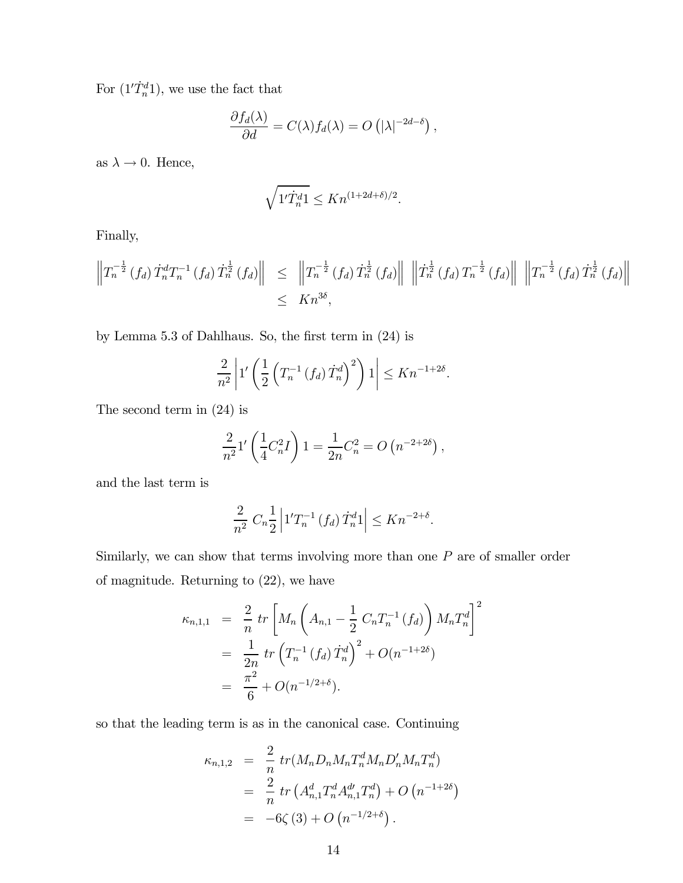For  $(1'\dot{T}_n^d)$ , we use the fact that

$$
\frac{\partial f_d(\lambda)}{\partial d} = C(\lambda) f_d(\lambda) = O(|\lambda|^{-2d-\delta}),
$$

as  $\lambda \to 0$ . Hence,

$$
\sqrt{1'\dot{T}_n^d 1} \le Kn^{(1+2d+\delta)/2}.
$$

Finally,

$$
\left\|T_n^{-\frac{1}{2}}(f_d) T_n^d T_n^{-1}(f_d) T_n^{\frac{1}{2}}(f_d) \right\| \leq \left\|T_n^{-\frac{1}{2}}(f_d) T_n^{\frac{1}{2}}(f_d) \right\| \left\|T_n^{\frac{1}{2}}(f_d) T_n^{-\frac{1}{2}}(f_d) \right\| \left\|T_n^{-\frac{1}{2}}(f_d) T_n^{\frac{1}{2}}(f_d) \right\| \leq Kn^{3\delta},
$$

by Lemma 5.3 of Dahlhaus. So, the first term in (24) is

$$
\frac{2}{n^2} \left| 1'\left(\frac{1}{2}\left(T_n^{-1}\left(f_d\right) \dot{T}_n^d\right)^2\right)1 \right| \leq Kn^{-1+2\delta}.
$$

The second term in (24) is

$$
\frac{2}{n^2}1'\left(\frac{1}{4}C_n^2I\right)1 = \frac{1}{2n}C_n^2 = O\left(n^{-2+2\delta}\right),\,
$$

and the last term is

$$
\frac{2}{n^2} C_n \frac{1}{2} \left| 1' T_n^{-1} \left( f_d \right) T_n^d 1 \right| \le K n^{-2+\delta}.
$$

Similarly, we can show that terms involving more than one  $P$  are of smaller order of magnitude. Returning to (22), we have

$$
\kappa_{n,1,1} = \frac{2}{n} tr \left[ M_n \left( A_{n,1} - \frac{1}{2} C_n T_n^{-1} (f_d) \right) M_n T_n^d \right]^2
$$
  
= 
$$
\frac{1}{2n} tr \left( T_n^{-1} (f_d) T_n^d \right)^2 + O(n^{-1+2\delta})
$$
  
= 
$$
\frac{\pi^2}{6} + O(n^{-1/2+\delta}).
$$

so that the leading term is as in the canonical case. Continuing

$$
\kappa_{n,1,2} = \frac{2}{n} tr(M_n D_n M_n T_n^d M_n D_n' M_n T_n^d)
$$
  
= 
$$
\frac{2}{n} tr(A_{n,1}^d T_n^d A_{n,1}^d T_n^d) + O(n^{-1+2\delta})
$$
  
= 
$$
-6\zeta(3) + O(n^{-1/2+\delta}).
$$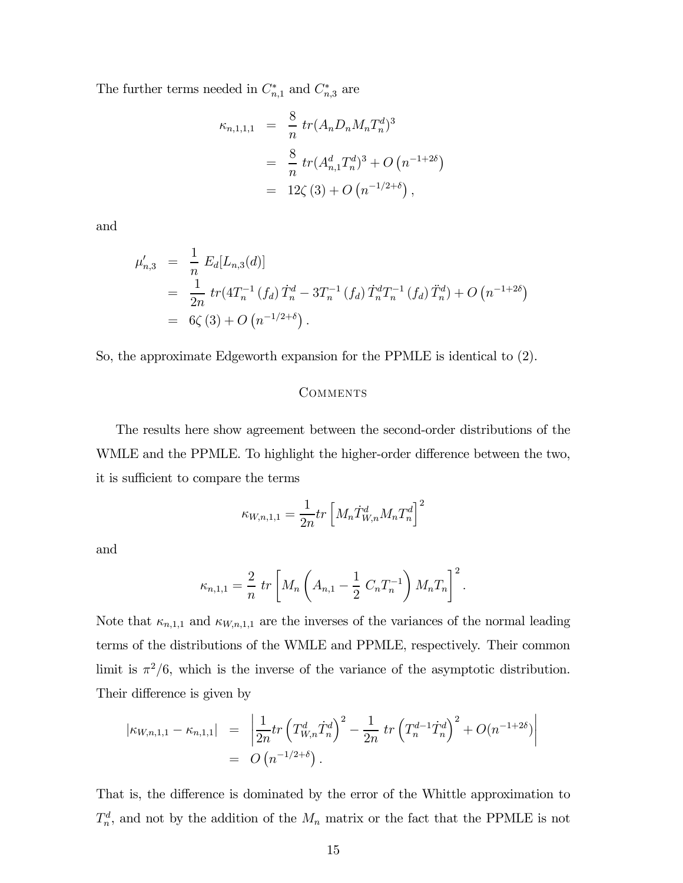The further terms needed in  $C_{n,1}^*$  and  $C_{n,3}^*$  are

$$
\kappa_{n,1,1,1} = \frac{8}{n} tr(A_n D_n M_n T_n^d)^3
$$
  
= 
$$
\frac{8}{n} tr(A_{n,1}^d T_n^d)^3 + O(n^{-1+2\delta})
$$
  
= 
$$
12\zeta(3) + O(n^{-1/2+\delta}),
$$

and

$$
\mu'_{n,3} = \frac{1}{n} E_d[L_{n,3}(d)]
$$
  
= 
$$
\frac{1}{2n} tr(4T_n^{-1} (f_d) T_n^d - 3T_n^{-1} (f_d) T_n^d T_n^{-1} (f_d) T_n^d) + O(n^{-1+2\delta})
$$
  
= 
$$
6\zeta(3) + O(n^{-1/2+\delta}).
$$

So, the approximate Edgeworth expansion for the PPMLE is identical to (2).

### COMMENTS

The results here show agreement between the second-order distributions of the WMLE and the PPMLE. To highlight the higher-order difference between the two, it is sufficient to compare the terms

$$
\kappa_{W,n,1,1} = \frac{1}{2n} tr \left[ M_n \dot{T}_{W,n}^d M_n T_n^d \right]^2
$$

and

$$
\kappa_{n,1,1} = \frac{2}{n} \, tr \left[ M_n \left( A_{n,1} - \frac{1}{2} \, C_n T_n^{-1} \right) M_n T_n \right]^2.
$$

Note that  $\kappa_{n,1,1}$  and  $\kappa_{W,n,1,1}$  are the inverses of the variances of the normal leading terms of the distributions of the WMLE and PPMLE, respectively. Their common limit is  $\pi^2/6$ , which is the inverse of the variance of the asymptotic distribution. Their difference is given by

$$
\begin{array}{rcl}\n|\kappa_{W,n,1,1} - \kappa_{n,1,1}| & = & \left| \frac{1}{2n} tr \left( T_{W,n}^d \dot{T}_n^d \right)^2 - \frac{1}{2n} tr \left( T_n^{d-1} \dot{T}_n^d \right)^2 + O(n^{-1+2\delta}) \right| \\
& = & O\left( n^{-1/2+\delta} \right).\n\end{array}
$$

That is, the difference is dominated by the error of the Whittle approximation to  $T_n^d$ , and not by the addition of the  $M_n$  matrix or the fact that the PPMLE is not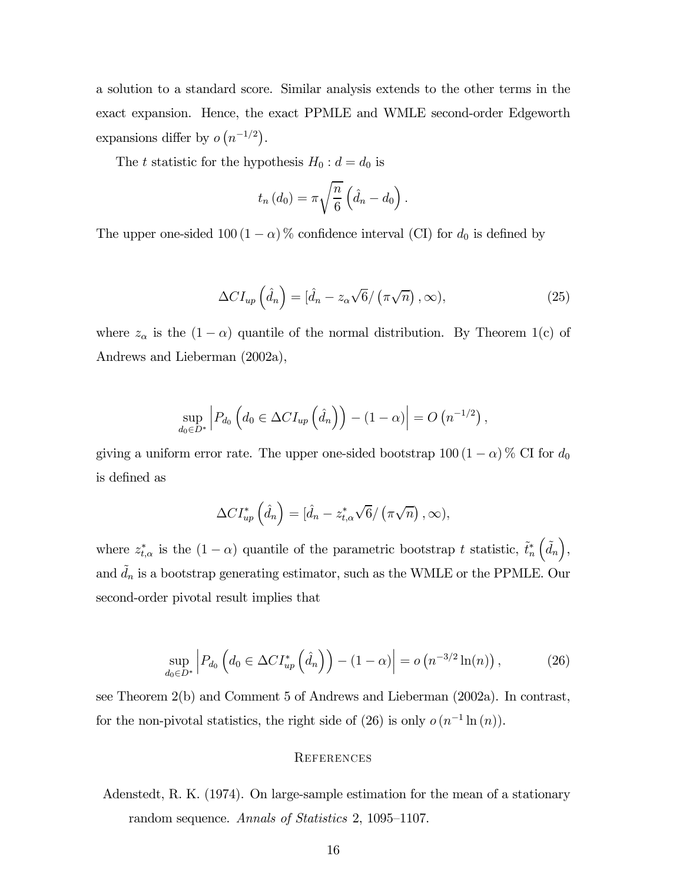a solution to a standard score. Similar analysis extends to the other terms in the exact expansion. Hence, the exact PPMLE and WMLE second-order Edgeworth expansions differ by  $o(n^{-1/2})$ .

The t statistic for the hypothesis  $H_0: d = d_0$  is

$$
t_n(d_0) = \pi \sqrt{\frac{n}{6}} \left( \hat{d}_n - d_0 \right).
$$

The upper one-sided 100 (1 –  $\alpha$ ) % confidence interval (CI) for  $d_0$  is defined by

$$
\Delta CI_{up} \left(\hat{d}_n\right) = \left[\hat{d}_n - z_\alpha \sqrt{6} / \left(\pi \sqrt{n}\right), \infty\right),\tag{25}
$$

where  $z_{\alpha}$  is the  $(1 - \alpha)$  quantile of the normal distribution. By Theorem 1(c) of Andrews and Lieberman (2002a),

$$
\sup_{d_0 \in D^*} \left| P_{d_0} \left( d_0 \in \Delta C I_{up} \left( \hat{d}_n \right) \right) - (1 - \alpha) \right| = O \left( n^{-1/2} \right),
$$

giving a uniform error rate. The upper one-sided bootstrap  $100 (1 - \alpha)$ % CI for  $d_0$ is defined as

$$
\Delta CI_{up}^* \left( \hat{d}_n \right) = [\hat{d}_n - z_{t,\alpha}^* \sqrt{6} / (\pi \sqrt{n}), \infty),
$$

where  $z_{t,\alpha}^*$  is the  $(1-\alpha)$  quantile of the parametric bootstrap t statistic,  $\tilde{t}_n^*$  $(\tilde{d}_n),$ and  $\tilde{d}_n$  is a bootstrap generating estimator, such as the WMLE or the PPMLE. Our second-order pivotal result implies that

$$
\sup_{d_0 \in D^*} \left| P_{d_0} \left( d_0 \in \Delta C I_{up}^* \left( \hat{d}_n \right) \right) - (1 - \alpha) \right| = o \left( n^{-3/2} \ln(n) \right), \tag{26}
$$

see Theorem 2(b) and Comment 5 of Andrews and Lieberman (2002a). In contrast, for the non-pivotal statistics, the right side of (26) is only  $o(n^{-1}\ln(n))$ .

#### REFERENCES

Adenstedt, R. K. (1974). On large-sample estimation for the mean of a stationary random sequence. Annals of Statistics 2, 1095—1107.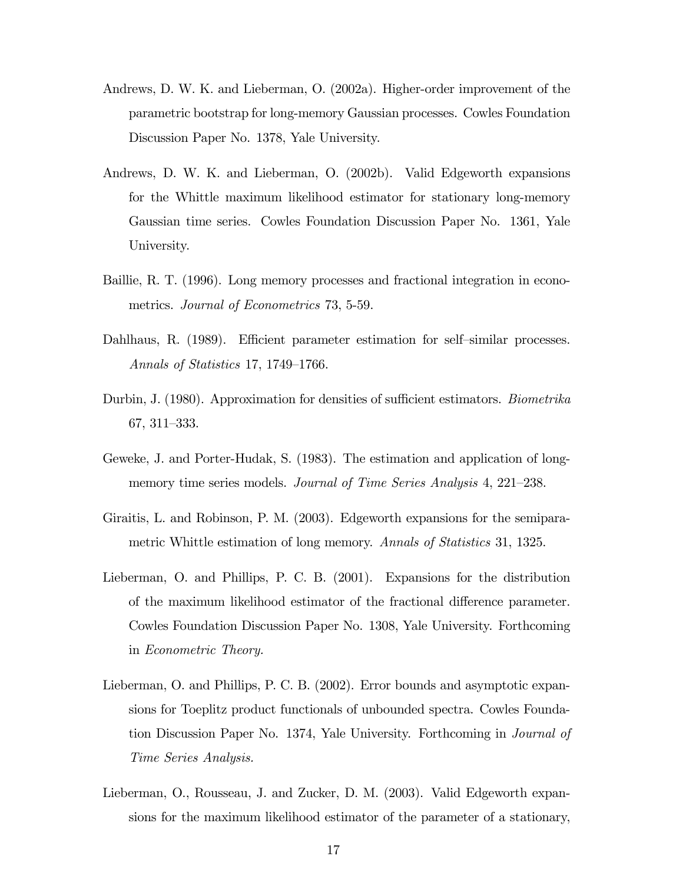- Andrews, D. W. K. and Lieberman, O. (2002a). Higher-order improvement of the parametric bootstrap for long-memory Gaussian processes. Cowles Foundation Discussion Paper No. 1378, Yale University.
- Andrews, D. W. K. and Lieberman, O. (2002b). Valid Edgeworth expansions for the Whittle maximum likelihood estimator for stationary long-memory Gaussian time series. Cowles Foundation Discussion Paper No. 1361, Yale University.
- Baillie, R. T. (1996). Long memory processes and fractional integration in econometrics. Journal of Econometrics 73, 5-59.
- Dahlhaus, R. (1989). Efficient parameter estimation for self—similar processes. Annals of Statistics 17, 1749—1766.
- Durbin, J. (1980). Approximation for densities of sufficient estimators. Biometrika 67, 311—333.
- Geweke, J. and Porter-Hudak, S. (1983). The estimation and application of longmemory time series models. Journal of Time Series Analysis 4, 221–238.
- Giraitis, L. and Robinson, P. M. (2003). Edgeworth expansions for the semiparametric Whittle estimation of long memory. Annals of Statistics 31, 1325.
- Lieberman, O. and Phillips, P. C. B. (2001). Expansions for the distribution of the maximum likelihood estimator of the fractional difference parameter. Cowles Foundation Discussion Paper No. 1308, Yale University. Forthcoming in Econometric Theory.
- Lieberman, O. and Phillips, P. C. B. (2002). Error bounds and asymptotic expansions for Toeplitz product functionals of unbounded spectra. Cowles Foundation Discussion Paper No. 1374, Yale University. Forthcoming in Journal of Time Series Analysis.
- Lieberman, O., Rousseau, J. and Zucker, D. M. (2003). Valid Edgeworth expansions for the maximum likelihood estimator of the parameter of a stationary,